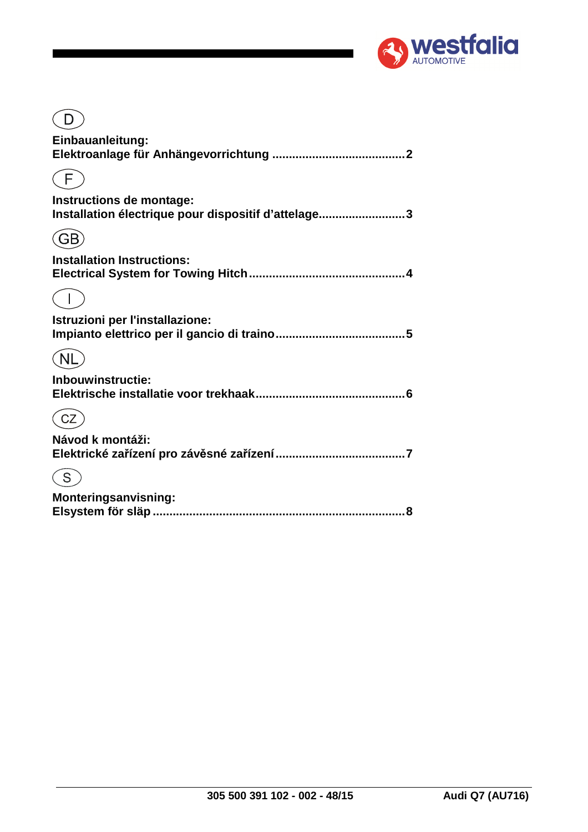

| Einbauanleitung:                                                                |
|---------------------------------------------------------------------------------|
|                                                                                 |
| Instructions de montage:<br>Installation électrique pour dispositif d'attelage3 |
| GB                                                                              |
| <b>Installation Instructions:</b>                                               |
|                                                                                 |
| Istruzioni per l'installazione:                                                 |
|                                                                                 |
| Inbouwinstructie:                                                               |
|                                                                                 |
| Návod k montáži:                                                                |
|                                                                                 |
| <b>Monteringsanvisning:</b><br>8                                                |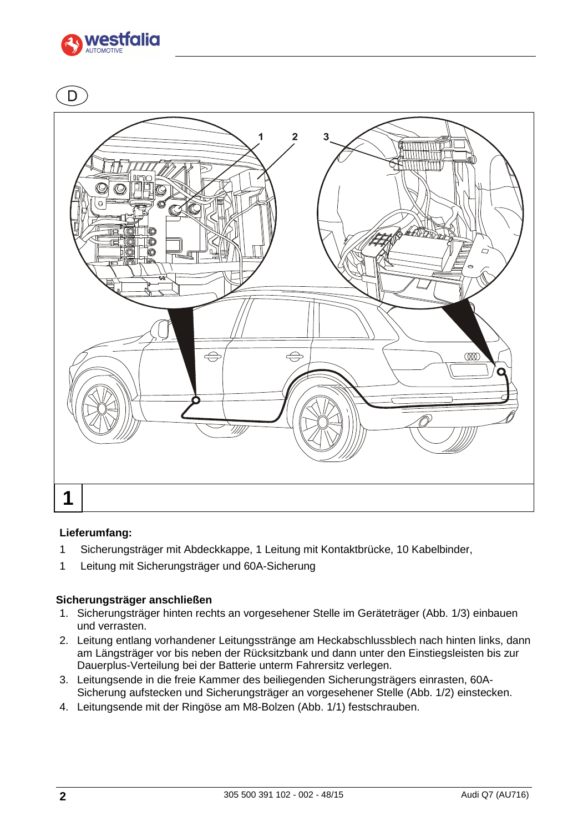



### **Lieferumfang:**

- 1 Sicherungsträger mit Abdeckkappe, 1 Leitung mit Kontaktbrücke, 10 Kabelbinder,
- 1 Leitung mit Sicherungsträger und 60A-Sicherung

### **Sicherungsträger anschließen**

- 1. Sicherungsträger hinten rechts an vorgesehener Stelle im Geräteträger (Abb. 1/3) einbauen und verrasten.
- 2. Leitung entlang vorhandener Leitungsstränge am Heckabschlussblech nach hinten links, dann am Längsträger vor bis neben der Rücksitzbank und dann unter den Einstiegsleisten bis zur Dauerplus-Verteilung bei der Batterie unterm Fahrersitz verlegen.
- 3. Leitungsende in die freie Kammer des beiliegenden Sicherungsträgers einrasten, 60A-Sicherung aufstecken und Sicherungsträger an vorgesehener Stelle (Abb. 1/2) einstecken.
- 4. Leitungsende mit der Ringöse am M8-Bolzen (Abb. 1/1) festschrauben.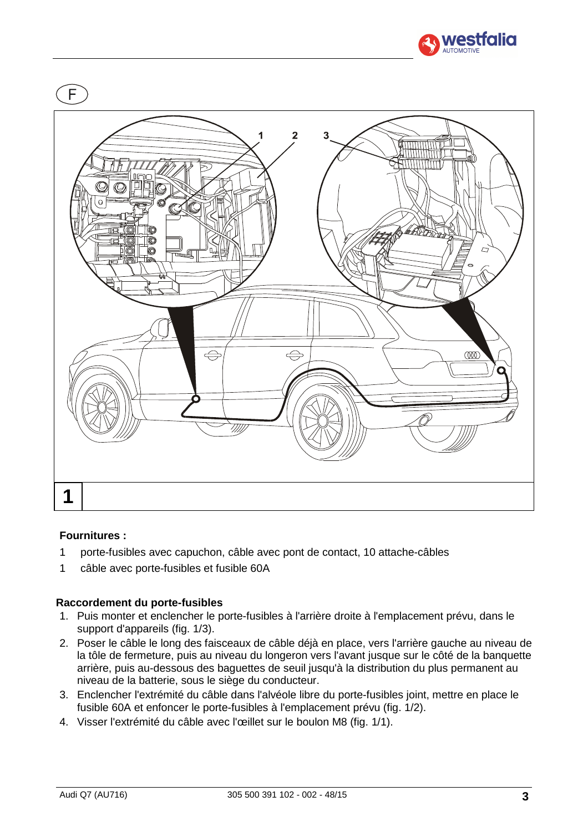



### **Fournitures :**

- 1 porte-fusibles avec capuchon, câble avec pont de contact, 10 attache-câbles
- 1 câble avec porte-fusibles et fusible 60A

### **Raccordement du porte-fusibles**

- 1. Puis monter et enclencher le porte-fusibles à l'arrière droite à l'emplacement prévu, dans le support d'appareils (fig. 1/3).
- 2. Poser le câble le long des faisceaux de câble déjà en place, vers l'arrière gauche au niveau de la tôle de fermeture, puis au niveau du longeron vers l'avant jusque sur le côté de la banquette arrière, puis au-dessous des baguettes de seuil jusqu'à la distribution du plus permanent au niveau de la batterie, sous le siège du conducteur.
- 3. Enclencher l'extrémité du câble dans l'alvéole libre du porte-fusibles joint, mettre en place le fusible 60A et enfoncer le porte-fusibles à l'emplacement prévu (fig. 1/2).
- 4. Visser l'extrémité du câble avec l'œillet sur le boulon M8 (fig. 1/1).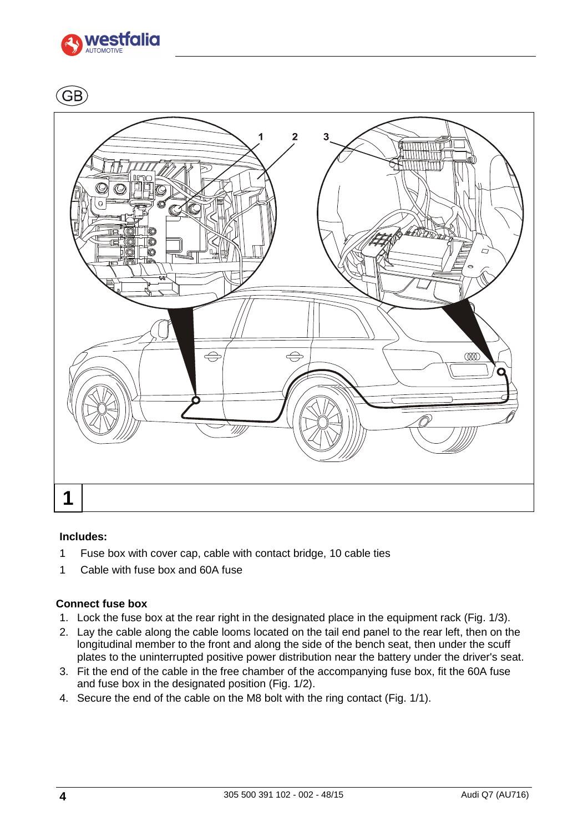

GB.



### **Includes:**

- 1 Fuse box with cover cap, cable with contact bridge, 10 cable ties
- 1 Cable with fuse box and 60A fuse

# **Connect fuse box**

- 1. Lock the fuse box at the rear right in the designated place in the equipment rack (Fig. 1/3).
- 2. Lay the cable along the cable looms located on the tail end panel to the rear left, then on the longitudinal member to the front and along the side of the bench seat, then under the scuff plates to the uninterrupted positive power distribution near the battery under the driver's seat.
- 3. Fit the end of the cable in the free chamber of the accompanying fuse box, fit the 60A fuse and fuse box in the designated position (Fig. 1/2).
- 4. Secure the end of the cable on the M8 bolt with the ring contact (Fig. 1/1).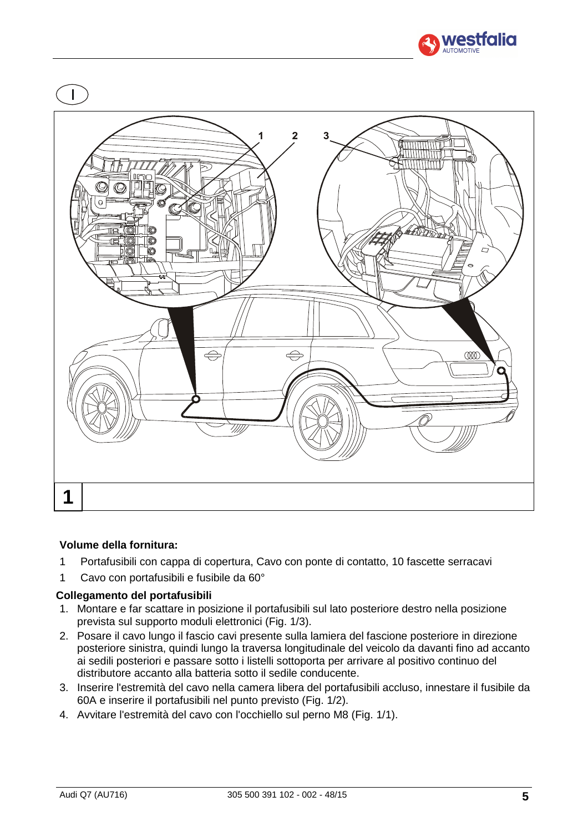



# **Volume della fornitura:**

- 1 Portafusibili con cappa di copertura, Cavo con ponte di contatto, 10 fascette serracavi
- 1 Cavo con portafusibili e fusibile da 60°

# **Collegamento del portafusibili**

- 1. Montare e far scattare in posizione il portafusibili sul lato posteriore destro nella posizione prevista sul supporto moduli elettronici (Fig. 1/3).
- 2. Posare il cavo lungo il fascio cavi presente sulla lamiera del fascione posteriore in direzione posteriore sinistra, quindi lungo la traversa longitudinale del veicolo da davanti fino ad accanto ai sedili posteriori e passare sotto i listelli sottoporta per arrivare al positivo continuo del distributore accanto alla batteria sotto il sedile conducente.
- 3. Inserire l'estremità del cavo nella camera libera del portafusibili accluso, innestare il fusibile da 60A e inserire il portafusibili nel punto previsto (Fig. 1/2).
- 4. Avvitare l'estremità del cavo con l'occhiello sul perno M8 (Fig. 1/1).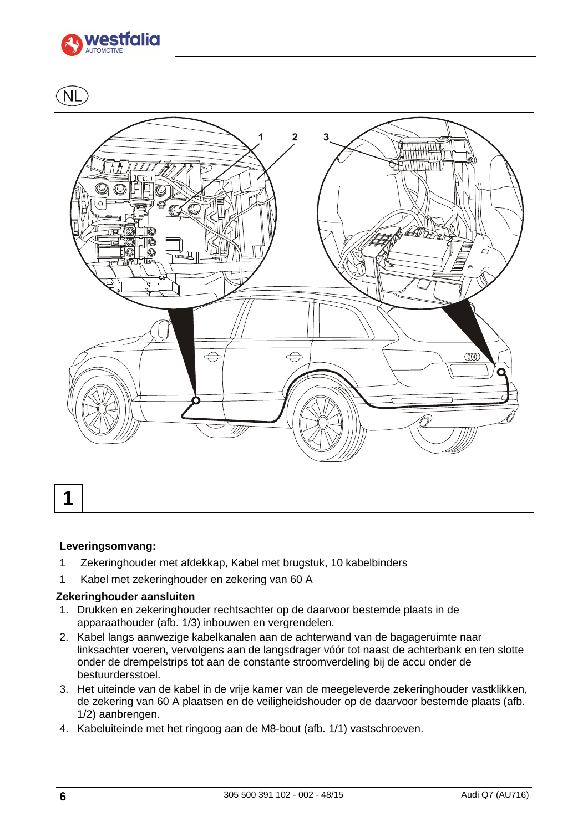

**NL** 



### **Leveringsomvang:**

- 1 Zekeringhouder met afdekkap, Kabel met brugstuk, 10 kabelbinders
- 1 Kabel met zekeringhouder en zekering van 60 A

# **Zekeringhouder aansluiten**

- 1. Drukken en zekeringhouder rechtsachter op de daarvoor bestemde plaats in de apparaathouder (afb. 1/3) inbouwen en vergrendelen.
- 2. Kabel langs aanwezige kabelkanalen aan de achterwand van de bagageruimte naar linksachter voeren, vervolgens aan de langsdrager vóór tot naast de achterbank en ten slotte onder de drempelstrips tot aan de constante stroomverdeling bij de accu onder de bestuurdersstoel.
- 3. Het uiteinde van de kabel in de vrije kamer van de meegeleverde zekeringhouder vastklikken, de zekering van 60 A plaatsen en de veiligheidshouder op de daarvoor bestemde plaats (afb. 1/2) aanbrengen.
- 4. Kabeluiteinde met het ringoog aan de M8-bout (afb. 1/1) vastschroeven.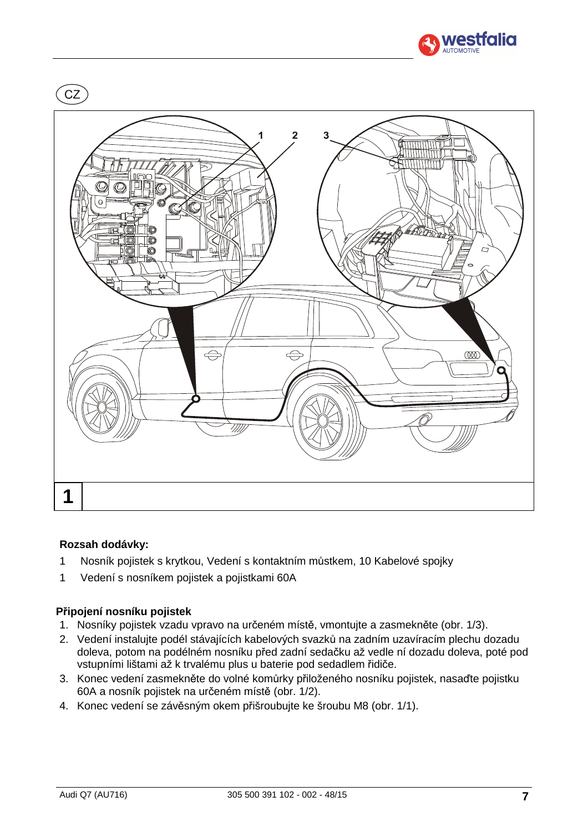



### **Rozsah dodávky:**

- 1 Nosník pojistek s krytkou, Vedení s kontaktním můstkem, 10 Kabelové spojky
- 1 Vedení s nosníkem pojistek a pojistkami 60A

### **Připojení nosníku pojistek**

- 1. Nosníky pojistek vzadu vpravo na určeném místě, vmontujte a zasmekněte (obr. 1/3).
- 2. Vedení instalujte podél stávajících kabelových svazků na zadním uzavíracím plechu dozadu doleva, potom na podélném nosníku před zadní sedačku až vedle ní dozadu doleva, poté pod vstupními lištami až k trvalému plus u baterie pod sedadlem řidiče.
- 3. Konec vedení zasmekněte do volné komůrky přiloženého nosníku pojistek, nasaďte pojistku 60A a nosník pojistek na určeném místě (obr. 1/2).
- 4. Konec vedení se závěsným okem přišroubujte ke šroubu M8 (obr. 1/1).